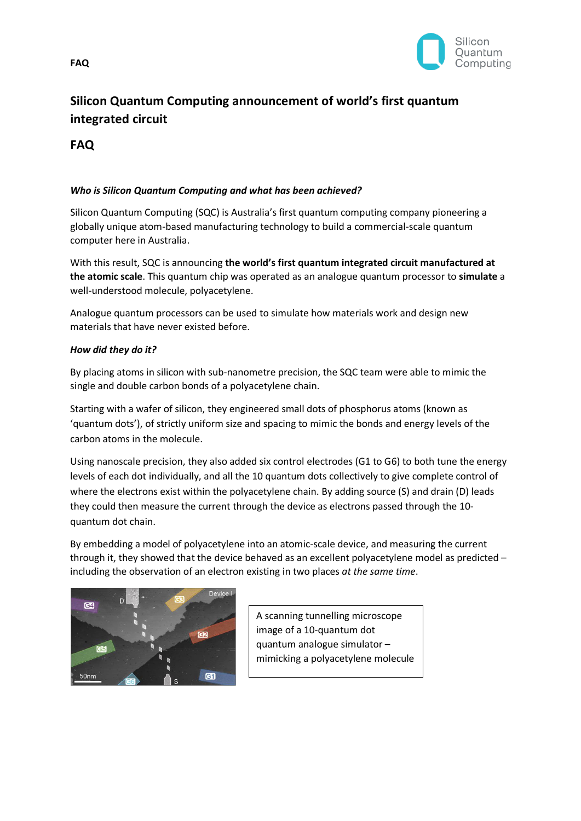

# **Silicon Quantum Computing announcement of world's first quantum integrated circuit**

**FAQ**

# *Who is Silicon Quantum Computing and what has been achieved?*

Silicon Quantum Computing (SQC) is Australia's first quantum computing company pioneering a globally unique atom-based manufacturing technology to build a commercial-scale quantum computer here in Australia.

With this result, SQC is announcing **the world's first quantum integrated circuit manufactured at the atomic scale**. This quantum chip was operated as an analogue quantum processor to **simulate** a well-understood molecule, polyacetylene.

Analogue quantum processors can be used to simulate how materials work and design new materials that have never existed before.

## *How did they do it?*

By placing atoms in silicon with sub-nanometre precision, the SQC team were able to mimic the single and double carbon bonds of a polyacetylene chain.

Starting with a wafer of silicon, they engineered small dots of phosphorus atoms (known as 'quantum dots'), of strictly uniform size and spacing to mimic the bonds and energy levels of the carbon atoms in the molecule.

Using nanoscale precision, they also added six control electrodes (G1 to G6) to both tune the energy levels of each dot individually, and all the 10 quantum dots collectively to give complete control of where the electrons exist within the polyacetylene chain. By adding source (S) and drain (D) leads they could then measure the current through the device as electrons passed through the 10 quantum dot chain.

By embedding a model of polyacetylene into an atomic-scale device, and measuring the current through it, they showed that the device behaved as an excellent polyacetylene model as predicted – including the observation of an electron existing in two places *at the same time*.



A scanning tunnelling microscope image of a 10-quantum dot quantum analogue simulator – mimicking a polyacetylene molecule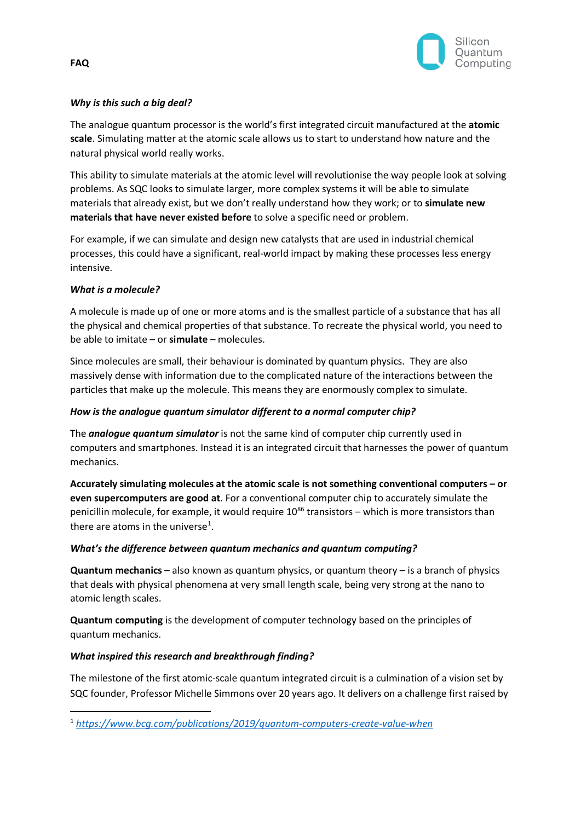

# *Why is this such a big deal?*

The analogue quantum processor is the world's first integrated circuit manufactured at the **atomic scale**. Simulating matter at the atomic scale allows us to start to understand how nature and the natural physical world really works.

This ability to simulate materials at the atomic level will revolutionise the way people look at solving problems. As SQC looks to simulate larger, more complex systems it will be able to simulate materials that already exist, but we don't really understand how they work; or to **simulate new materials that have never existed before** to solve a specific need or problem.

For example, if we can simulate and design new catalysts that are used in industrial chemical processes, this could have a significant, real-world impact by making these processes less energy intensive.

# *What is a molecule?*

A molecule is made up of one or more atoms and is the smallest particle of a substance that has all the physical and chemical properties of that substance. To recreate the physical world, you need to be able to imitate – or **simulate** – molecules.

Since molecules are small, their behaviour is dominated by quantum physics. They are also massively dense with information due to the complicated nature of the interactions between the particles that make up the molecule. This means they are enormously complex to simulate.

## *How is the analogue quantum simulator different to a normal computer chip?*

The *analogue quantum simulator* is not the same kind of computer chip currently used in computers and smartphones. Instead it is an integrated circuit that harnesses the power of quantum mechanics.

**Accurately simulating molecules at the atomic scale is not something conventional computers – or even supercomputers are good at**. For a conventional computer chip to accurately simulate the penicillin molecule, for example, it would require  $10^{86}$  transistors – which is more transistors than there are atoms in the universe<sup>[1](#page-1-0)</sup>.

## *What's the difference between quantum mechanics and quantum computing?*

**Quantum mechanics** – also known as quantum physics, or quantum theory – is a branch of physics that deals with physical phenomena at very small length scale, being very strong at the nano to atomic length scales.

**Quantum computing** is the development of computer technology based on the principles of quantum mechanics.

# *What inspired this research and breakthrough finding?*

The milestone of the first atomic-scale quantum integrated circuit is a culmination of a vision set by SQC founder, Professor Michelle Simmons over 20 years ago. It delivers on a challenge first raised by

<span id="page-1-0"></span><sup>1</sup> *<https://www.bcg.com/publications/2019/quantum-computers-create-value-when>*